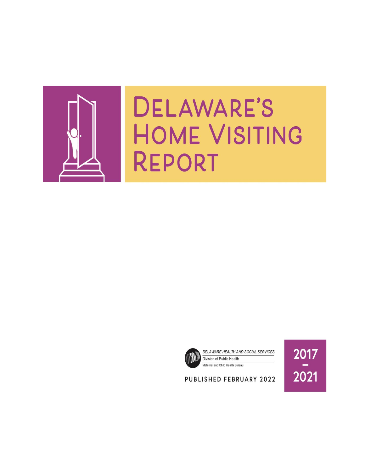

# DELAWARE'S **HOME VISITING** REPORT





2017 2021

## PUBLISHED FEBRUARY 2022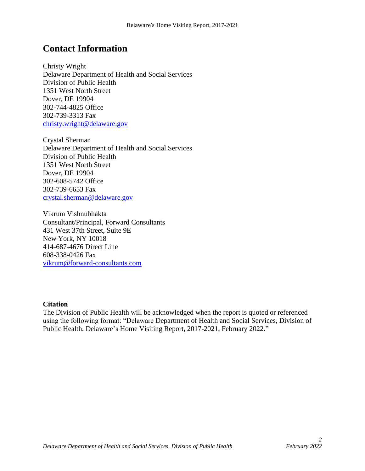# **Contact Information**

Christy Wright Delaware Department of Health and Social Services Division of Public Health 1351 West North Street Dover, DE 19904 302-744-4825 Office 302-739-3313 Fax [christy.wright@delaware.gov](mailto:christy.wright@delaware.gov)

Crystal Sherman Delaware Department of Health and Social Services Division of Public Health 1351 West North Street Dover, DE 19904 302-608-5742 Office 302-739-6653 Fax [crystal.sherman@delaware.gov](mailto:crystal.sherman@delaware.gov)

Vikrum Vishnubhakta Consultant/Principal, Forward Consultants 431 West 37th Street, Suite 9E New York, NY 10018 414-687-4676 Direct Line 608-338-0426 Fax [vikrum@forward-consultants.com](mailto:vikrum@forward-consultants.com)

#### **Citation**

The Division of Public Health will be acknowledged when the report is quoted or referenced using the following format: "Delaware Department of Health and Social Services, Division of Public Health. Delaware's Home Visiting Report, 2017-2021, February 2022."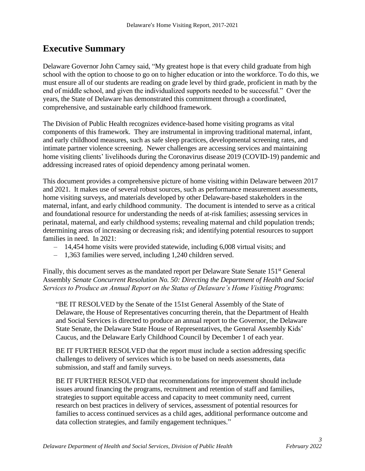# **Executive Summary**

Delaware Governor John Carney said, "My greatest hope is that every child graduate from high school with the option to choose to go on to higher education or into the workforce. To do this, we must ensure all of our students are reading on grade level by third grade, proficient in math by the end of middle school, and given the individualized supports needed to be successful." Over the years, the State of Delaware has demonstrated this commitment through a coordinated, comprehensive, and sustainable early childhood framework.

The Division of Public Health recognizes evidence-based home visiting programs as vital components of this framework. They are instrumental in improving traditional maternal, infant, and early childhood measures, such as safe sleep practices, developmental screening rates, and intimate partner violence screening. Newer challenges are accessing services and maintaining home visiting clients' livelihoods during the Coronavirus disease 2019 (COVID-19) pandemic and addressing increased rates of opioid dependency among perinatal women.

This document provides a comprehensive picture of home visiting within Delaware between 2017 and 2021. It makes use of several robust sources, such as performance measurement assessments, home visiting surveys, and materials developed by other Delaware-based stakeholders in the maternal, infant, and early childhood community. The document is intended to serve as a critical and foundational resource for understanding the needs of at-risk families; assessing services in perinatal, maternal, and early childhood systems; revealing maternal and child population trends; determining areas of increasing or decreasing risk; and identifying potential resources to support families in need. In 2021:

- *–* 14,454 home visits were provided statewide, including 6,008 virtual visits; and
- *–* 1,363 families were served, including 1,240 children served.

Finally, this document serves as the mandated report per Delaware State Senate 151<sup>st</sup> General Assembly *Senate Concurrent Resolution No. 50: Directing the Department of Health and Social Services to Produce an Annual Report on the Status of Delaware's Home Visiting Programs*:

"BE IT RESOLVED by the Senate of the 151st General Assembly of the State of Delaware, the House of Representatives concurring therein, that the Department of Health and Social Services is directed to produce an annual report to the Governor, the Delaware State Senate, the Delaware State House of Representatives, the General Assembly Kids' Caucus, and the Delaware Early Childhood Council by December 1 of each year.

BE IT FURTHER RESOLVED that the report must include a section addressing specific challenges to delivery of services which is to be based on needs assessments, data submission, and staff and family surveys.

BE IT FURTHER RESOLVED that recommendations for improvement should include issues around financing the programs, recruitment and retention of staff and families, strategies to support equitable access and capacity to meet community need, current research on best practices in delivery of services, assessment of potential resources for families to access continued services as a child ages, additional performance outcome and data collection strategies, and family engagement techniques."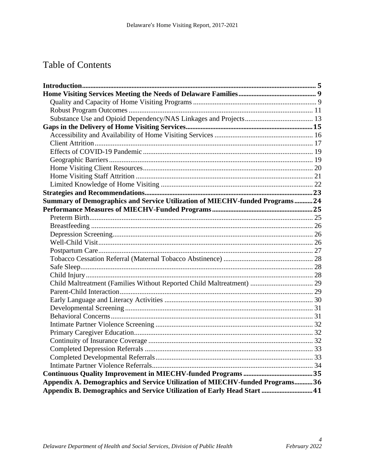# **Table of Contents**

| Summary of Demographics and Service Utilization of MIECHV-funded Programs 24 |  |
|------------------------------------------------------------------------------|--|
|                                                                              |  |
|                                                                              |  |
|                                                                              |  |
|                                                                              |  |
|                                                                              |  |
|                                                                              |  |
|                                                                              |  |
|                                                                              |  |
|                                                                              |  |
| Child Maltreatment (Families Without Reported Child Maltreatment)  29        |  |
|                                                                              |  |
|                                                                              |  |
|                                                                              |  |
|                                                                              |  |
|                                                                              |  |
|                                                                              |  |
|                                                                              |  |
|                                                                              |  |
|                                                                              |  |
|                                                                              |  |
|                                                                              |  |
| Appendix A. Demographics and Service Utilization of MIECHV-funded Programs36 |  |
| Appendix B. Demographics and Service Utilization of Early Head Start  41     |  |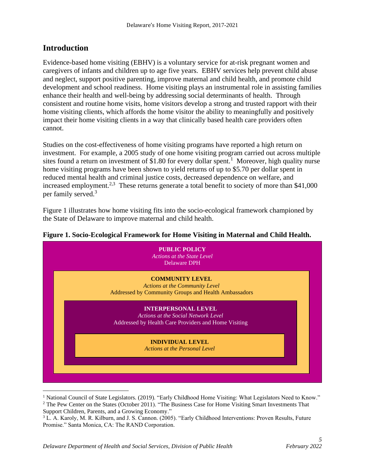## <span id="page-4-0"></span>**Introduction**

Evidence-based home visiting (EBHV) is a voluntary service for at-risk pregnant women and caregivers of infants and children up to age five years. EBHV services help prevent child abuse and neglect, support positive parenting, improve maternal and child health, and promote child development and school readiness. Home visiting plays an instrumental role in assisting families enhance their health and well-being by addressing social determinants of health. Through consistent and routine home visits, home visitors develop a strong and trusted rapport with their home visiting clients, which affords the home visitor the ability to meaningfully and positively impact their home visiting clients in a way that clinically based health care providers often cannot.

Studies on the cost-effectiveness of home visiting programs have reported a high return on investment. For example, a 2005 study of one home visiting program carried out across multiple sites found a return on investment of \$1.80 for every dollar spent.<sup>1</sup> Moreover, high quality nurse home visiting programs have been shown to yield returns of up to \$5.70 per dollar spent in reduced mental health and criminal justice costs, decreased dependence on welfare, and increased employment.<sup>2,3</sup> These returns generate a total benefit to society of more than \$41,000 per family served.[3](#page-4-1)

<span id="page-4-1"></span>Figure 1 illustrates how home visiting fits into the socio-ecological framework championed by the State of Delaware to improve maternal and child health.

#### **Figure 1. Socio-Ecological Framework for Home Visiting in Maternal and Child Health.**



<sup>&</sup>lt;sup>1</sup> National Council of State Legislators. (2019). "Early Childhood Home Visiting: What Legislators Need to Know." <sup>2</sup> The Pew Center on the States (October 2011). "The Business Case for Home Visiting Smart Investments That Support Children, Parents, and a Growing Economy."

<sup>3</sup> L. A. Karoly, M. R. Kilburn, and J. S. Cannon. (2005). "Early Childhood Interventions: Proven Results, Future Promise." Santa Monica, CA: The RAND Corporation.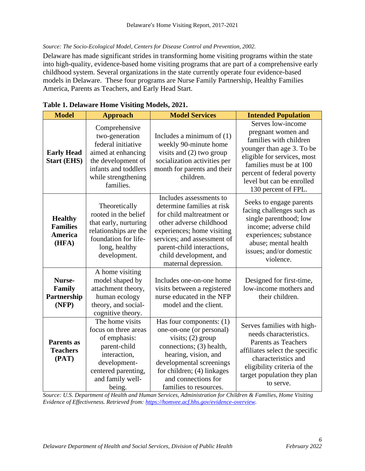#### *Source: The Socio-Ecological Model, Centers for Disease Control and Prevention, 2002.*

Delaware has made significant strides in transforming home visiting programs within the state into high-quality, evidence-based home visiting programs that are part of a comprehensive early childhood system. Several organizations in the state currently operate four evidence-based models in Delaware. These four programs are Nurse Family Partnership, Healthy Families America, Parents as Teachers, and Early Head Start.

| <b>Model</b>                                                 | <b>Approach</b>                                                                                                                                               | <b>Model Services</b>                                                                                                                                                                                                                                      | <b>Intended Population</b>                                                                                                                                                                                                                 |
|--------------------------------------------------------------|---------------------------------------------------------------------------------------------------------------------------------------------------------------|------------------------------------------------------------------------------------------------------------------------------------------------------------------------------------------------------------------------------------------------------------|--------------------------------------------------------------------------------------------------------------------------------------------------------------------------------------------------------------------------------------------|
| <b>Early Head</b><br><b>Start (EHS)</b>                      | Comprehensive<br>two-generation<br>federal initiative<br>aimed at enhancing<br>the development of<br>infants and toddlers<br>while strengthening<br>families. | Includes a minimum of $(1)$<br>weekly 90-minute home<br>visits and (2) two group<br>socialization activities per<br>month for parents and their<br>children.                                                                                               | Serves low-income<br>pregnant women and<br>families with children<br>younger than age 3. To be<br>eligible for services, most<br>families must be at 100<br>percent of federal poverty<br>level but can be enrolled<br>130 percent of FPL. |
| <b>Healthy</b><br><b>Families</b><br><b>America</b><br>(HFA) | Theoretically<br>rooted in the belief<br>that early, nurturing<br>relationships are the<br>foundation for life-<br>long, healthy<br>development.              | Includes assessments to<br>determine families at risk<br>for child maltreatment or<br>other adverse childhood<br>experiences; home visiting<br>services; and assessment of<br>parent-child interactions,<br>child development, and<br>maternal depression. | Seeks to engage parents<br>facing challenges such as<br>single parenthood; low<br>income; adverse child<br>experiences; substance<br>abuse; mental health<br>issues; and/or domestic<br>violence.                                          |
| Nurse-<br><b>Family</b><br>Partnership<br>(NFP)              | A home visiting<br>model shaped by<br>attachment theory,<br>human ecology<br>theory, and social-<br>cognitive theory.                                         | Includes one-on-one home<br>visits between a registered<br>nurse educated in the NFP<br>model and the client.                                                                                                                                              | Designed for first-time,<br>low-income mothers and<br>their children.                                                                                                                                                                      |
| <b>Parents as</b><br><b>Teachers</b><br>(PAT)                | The home visits<br>focus on three areas<br>of emphasis:<br>parent-child<br>interaction,<br>development-<br>centered parenting,<br>and family well-<br>being.  | Has four components: (1)<br>one-on-one (or personal)<br>visits; $(2)$ group<br>connections; (3) health,<br>hearing, vision, and<br>developmental screenings<br>for children; (4) linkages<br>and connections for<br>families to resources.                 | Serves families with high-<br>needs characteristics.<br>Parents as Teachers<br>affiliates select the specific<br>characteristics and<br>eligibility criteria of the<br>target population they plan<br>to serve.                            |

|  | Table 1. Delaware Home Visiting Models, 2021. |  |  |  |  |
|--|-----------------------------------------------|--|--|--|--|
|--|-----------------------------------------------|--|--|--|--|

*Source: U.S. Department of Health and Human Services, Administration for Children & Families, Home Visiting Evidence of Effectiveness. Retrieved from: [https://homvee.acf.hhs.gov/evidence-overview.](https://homvee.acf.hhs.gov/evidence-overview)*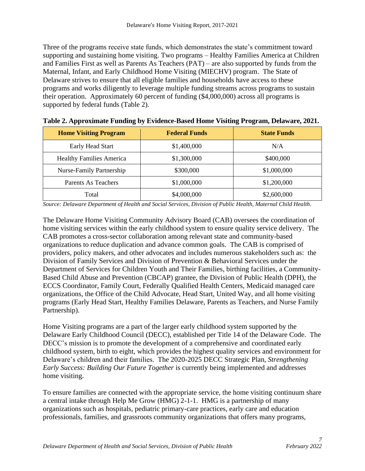Three of the programs receive state funds, which demonstrates the state's commitment toward supporting and sustaining home visiting. Two programs – Healthy Families America at Children and Families First as well as Parents As Teachers (PAT) – are also supported by funds from the Maternal, Infant, and Early Childhood Home Visiting (MIECHV) program. The State of Delaware strives to ensure that all eligible families and households have access to these programs and works diligently to leverage multiple funding streams across programs to sustain their operation. Approximately 60 percent of funding (\$4,000,000) across all programs is supported by federal funds (Table 2).

| <b>Home Visiting Program</b>    | <b>Federal Funds</b> | <b>State Funds</b> |
|---------------------------------|----------------------|--------------------|
| Early Head Start                | \$1,400,000          | N/A                |
| <b>Healthy Families America</b> | \$1,300,000          | \$400,000          |
| Nurse-Family Partnership        | \$300,000            | \$1,000,000        |
| Parents As Teachers             | \$1,000,000          | \$1,200,000        |
| Total                           | \$4,000,000          | \$2,600,000        |

**Table 2. Approximate Funding by Evidence-Based Home Visiting Program, Delaware, 2021.**

*Source: Delaware Department of Health and Social Services, Division of Public Health, Maternal Child Health.*

The Delaware Home Visiting Community Advisory Board (CAB) oversees the coordination of home visiting services within the early childhood system to ensure quality service delivery. The CAB promotes a cross-sector collaboration among relevant state and community-based organizations to reduce duplication and advance common goals. The CAB is comprised of providers, policy makers, and other advocates and includes numerous stakeholders such as: the Division of Family Services and Division of Prevention & Behavioral Services under the Department of Services for Children Youth and Their Families, birthing facilities, a Community-Based Child Abuse and Prevention (CBCAP) grantee, the Division of Public Health (DPH), the ECCS Coordinator, Family Court, Federally Qualified Health Centers, Medicaid managed care organizations, the Office of the Child Advocate, Head Start, United Way, and all home visiting programs (Early Head Start, Healthy Families Delaware, Parents as Teachers, and Nurse Family Partnership).

Home Visiting programs are a part of the larger early childhood system supported by the Delaware Early Childhood Council (DECC), established per Title 14 of the Delaware Code. The DECC's mission is to promote the development of a comprehensive and coordinated early childhood system, birth to eight, which provides the highest quality services and environment for Delaware's children and their families. The 2020-2025 DECC Strategic Plan, *Strengthening Early Success: Building Our Future Together* is currently being implemented and addresses home visiting.

To ensure families are connected with the appropriate service, the home visiting continuum share a central intake through Help Me Grow (HMG) 2-1-1. HMG is a partnership of many organizations such as hospitals, pediatric primary-care practices, early care and education professionals, families, and grassroots community organizations that offers many programs,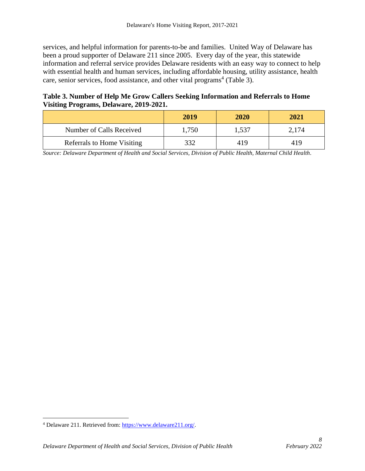services, and helpful information for parents-to-be and families. United Way of Delaware has been a proud supporter of Delaware 211 since 2005. Every day of the year, this statewide information and referral service provides Delaware residents with an easy way to connect to help with essential health and human services, including affordable housing, utility assistance, health care, senior services, food assistance, and other vital programs<sup>4</sup> (Table 3).

## **Table 3. Number of Help Me Grow Callers Seeking Information and Referrals to Home Visiting Programs, Delaware, 2019-2021.**

|                            | 2019  | <b>2020</b> | 2021  |
|----------------------------|-------|-------------|-------|
| Number of Calls Received   | 1,750 | 1.537       | 2,174 |
| Referrals to Home Visiting | 332   | 419         | 419   |

*Source: Delaware Department of Health and Social Services, Division of Public Health, Maternal Child Health.*

<sup>4</sup> Delaware 211. Retrieved from[: https://www.delaware211.org/.](https://www.delaware211.org/)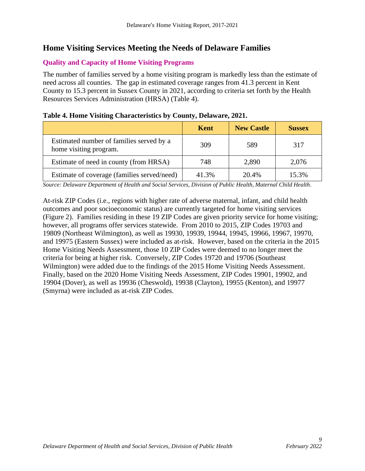## <span id="page-8-0"></span>**Home Visiting Services Meeting the Needs of Delaware Families**

## <span id="page-8-1"></span>**Quality and Capacity of Home Visiting Programs**

The number of families served by a home visiting program is markedly less than the estimate of need across all counties. The gap in estimated coverage ranges from 41.3 percent in Kent County to 15.3 percent in Sussex County in 2021, according to criteria set forth by the Health Resources Services Administration (HRSA) (Table 4).

|                                                                    | Kent  | <b>New Castle</b> | <b>Sussex</b> |
|--------------------------------------------------------------------|-------|-------------------|---------------|
| Estimated number of families served by a<br>home visiting program. | 309   | 589               | 317           |
| Estimate of need in county (from HRSA)                             | 748   | 2,890             | 2,076         |
| Estimate of coverage (families served/need)                        | 41.3% | 20.4%             | 15.3%         |

#### **Table 4. Home Visiting Characteristics by County, Delaware, 2021.**

*Source: Delaware Department of Health and Social Services, Division of Public Health, Maternal Child Health.*

At-risk ZIP Codes (i.e., regions with higher rate of adverse maternal, infant, and child health outcomes and poor socioeconomic status) are currently targeted for home visiting services (Figure 2). Families residing in these 19 ZIP Codes are given priority service for home visiting; however, all programs offer services statewide. From 2010 to 2015, ZIP Codes 19703 and 19809 (Northeast Wilmington), as well as 19930, 19939, 19944, 19945, 19966, 19967, 19970, and 19975 (Eastern Sussex) were included as at-risk. However, based on the criteria in the 2015 Home Visiting Needs Assessment, those 10 ZIP Codes were deemed to no longer meet the criteria for being at higher risk. Conversely, ZIP Codes 19720 and 19706 (Southeast Wilmington) were added due to the findings of the 2015 Home Visiting Needs Assessment. Finally, based on the 2020 Home Visiting Needs Assessment, ZIP Codes 19901, 19902, and 19904 (Dover), as well as 19936 (Cheswold), 19938 (Clayton), 19955 (Kenton), and 19977 (Smyrna) were included as at-risk ZIP Codes.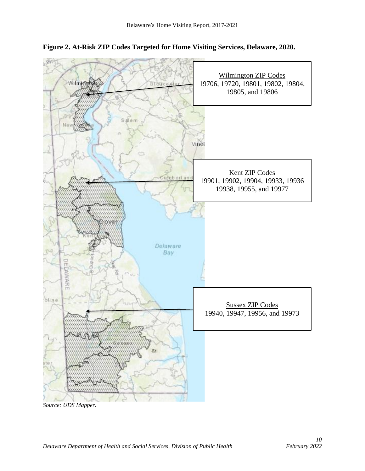



*Source: UDS Mapper.*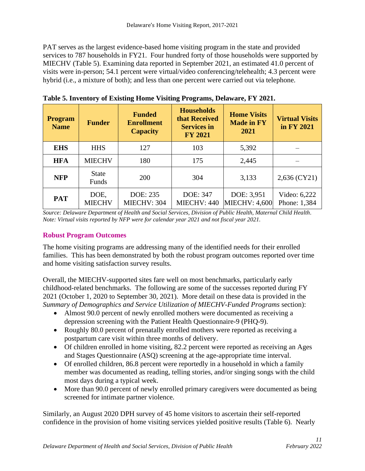PAT serves as the largest evidence-based home visiting program in the state and provided services to 787 households in FY21. Four hundred forty of those households were supported by MIECHV (Table 5). Examining data reported in September 2021, an estimated 41.0 percent of visits were in-person; 54.1 percent were virtual/video conferencing/telehealth; 4.3 percent were hybrid (i.e., a mixture of both); and less than one percent were carried out via telephone.

| <b>Program</b><br><b>Name</b> | <b>Funder</b>         | <b>Funded</b><br><b>Enrollment</b><br><b>Capacity</b> | <b>Households</b><br>that Received<br><b>Services in</b><br><b>FY 2021</b> | <b>Home Visits</b><br><b>Made in FY</b><br>2021 | <b>Virtual Visits</b><br>in FY 2021 |
|-------------------------------|-----------------------|-------------------------------------------------------|----------------------------------------------------------------------------|-------------------------------------------------|-------------------------------------|
| <b>EHS</b>                    | <b>HHS</b>            | 127                                                   | 103                                                                        | 5,392                                           |                                     |
| <b>HFA</b>                    | <b>MIECHV</b>         | 180                                                   | 175                                                                        | 2,445                                           |                                     |
| <b>NFP</b>                    | <b>State</b><br>Funds | 200                                                   | 304                                                                        | 3,133                                           | 2,636 (CY21)                        |
| <b>PAT</b>                    | DOE,<br><b>MIECHV</b> | DOE: 235<br>MIECHV: 304                               | DOE: 347<br>MIECHV: 440                                                    | DOE: 3,951<br><b>MIECHV: 4,600</b>              | Video: 6,222<br>Phone: 1,384        |

**Table 5. Inventory of Existing Home Visiting Programs, Delaware, FY 2021.**

*Source: Delaware Department of Health and Social Services, Division of Public Health, Maternal Child Health. Note: Virtual visits reported by NFP were for calendar year 2021 and not fiscal year 2021.* 

## <span id="page-10-0"></span>**Robust Program Outcomes**

The home visiting programs are addressing many of the identified needs for their enrolled families. This has been demonstrated by both the robust program outcomes reported over time and home visiting satisfaction survey results.

Overall, the MIECHV-supported sites fare well on most benchmarks, particularly early childhood-related benchmarks. The following are some of the successes reported during FY 2021 (October 1, 2020 to September 30, 2021). More detail on these data is provided in the *Summary of Demographics and Service Utilization of MIECHV-Funded Programs* section):

- Almost 90.0 percent of newly enrolled mothers were documented as receiving a depression screening with the Patient Health Questionnaire-9 (PHQ-9).
- Roughly 80.0 percent of prenatally enrolled mothers were reported as receiving a postpartum care visit within three months of delivery.
- Of children enrolled in home visiting, 82.2 percent were reported as receiving an Ages and Stages Questionnaire (ASQ) screening at the age-appropriate time interval.
- Of enrolled children, 86.8 percent were reportedly in a household in which a family member was documented as reading, telling stories, and/or singing songs with the child most days during a typical week.
- More than 90.0 percent of newly enrolled primary caregivers were documented as being screened for intimate partner violence.

Similarly, an August 2020 DPH survey of 45 home visitors to ascertain their self-reported confidence in the provision of home visiting services yielded positive results (Table 6). Nearly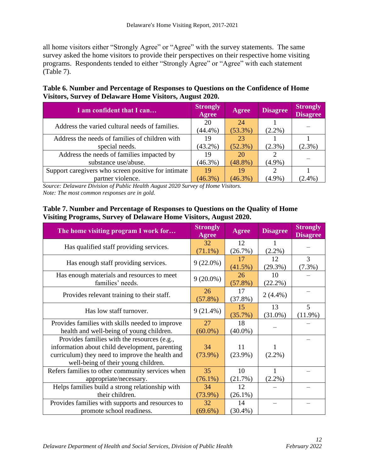all home visitors either "Strongly Agree" or "Agree" with the survey statements. The same survey asked the home visitors to provide their perspectives on their respective home visiting programs. Respondents tended to either "Strongly Agree" or "Agree" with each statement (Table 7).

**Table 6. Number and Percentage of Responses to Questions on the Confidence of Home Visitors, Survey of Delaware Home Visitors, August 2020.**

| I am confident that I can                           | <b>Strongly</b><br><b>Agree</b> | Agree      | <b>Disagree</b> | <b>Strongly</b><br><b>Disagree</b> |
|-----------------------------------------------------|---------------------------------|------------|-----------------|------------------------------------|
| Address the varied cultural needs of families.      | 20                              | 24         |                 |                                    |
|                                                     | $(44.4\%)$                      | $(53.3\%)$ | $(2.2\%)$       |                                    |
| Address the needs of families of children with      | 19                              | 23         |                 |                                    |
| special needs.                                      | $(43.2\%)$                      | $(52.3\%)$ | $(2.3\%)$       | $(2.3\%)$                          |
| Address the needs of families impacted by           | 19                              | 20         |                 |                                    |
| substance use/abuse.                                | $(46.3\%)$                      | $(48.8\%)$ | $(4.9\%)$       |                                    |
| Support caregivers who screen positive for intimate | 19                              | 19         |                 |                                    |
| partner violence.                                   | $(46.3\%)$                      | $(46.3\%)$ | (4.9%)          | $(2.4\%)$                          |

*Source: Delaware Division of Public Health August 2020 Survey of Home Visitors. Note: The most common responses are in gold.*

## **Table 7. Number and Percentage of Responses to Questions on the Quality of Home Visiting Programs, Survey of Delaware Home Visitors, August 2020.**

| The home visiting program I work for                                                                                                                                                    | <b>Strongly</b><br>Agree | <b>Agree</b>     | <b>Disagree</b>  | <b>Strongly</b><br><b>Disagree</b> |
|-----------------------------------------------------------------------------------------------------------------------------------------------------------------------------------------|--------------------------|------------------|------------------|------------------------------------|
| Has qualified staff providing services.                                                                                                                                                 | 32<br>$(71.1\%)$         | 12<br>(26.7%)    | 1<br>$(2.2\%)$   |                                    |
| Has enough staff providing services.                                                                                                                                                    | $9(22.0\%)$              | 17<br>(41.5%)    | 12<br>$(29.3\%)$ | 3<br>$(7.3\%)$                     |
| Has enough materials and resources to meet<br>families' needs.                                                                                                                          | $9(20.0\%)$              | 26<br>$(57.8\%)$ | 10<br>$(22.2\%)$ |                                    |
| Provides relevant training to their staff.                                                                                                                                              | 26<br>(57.8%)            | 17<br>(37.8%)    | $2(4.4\%)$       |                                    |
| Has low staff turnover.                                                                                                                                                                 | $9(21.4\%)$              | 15<br>(35.7%)    | 13<br>$(31.0\%)$ | 5<br>$(11.9\%)$                    |
| Provides families with skills needed to improve<br>health and well-being of young children.                                                                                             | 27<br>$(60.0\%)$         | 18<br>$(40.0\%)$ |                  |                                    |
| Provides families with the resources (e.g.,<br>information about child development, parenting<br>curriculum) they need to improve the health and<br>well-being of their young children. | 34<br>$(73.9\%)$         | 11<br>$(23.9\%)$ | $(2.2\%)$        |                                    |
| Refers families to other community services when<br>appropriate/necessary.                                                                                                              | 35<br>$(76.1\%)$         | 10<br>(21.7%)    | 1<br>$(2.2\%)$   |                                    |
| Helps families build a strong relationship with<br>their children.                                                                                                                      | 34<br>$(73.9\%)$         | 12<br>$(26.1\%)$ |                  |                                    |
| Provides families with supports and resources to<br>promote school readiness.                                                                                                           | 32<br>$(69.6\%)$         | 14<br>$(30.4\%)$ |                  |                                    |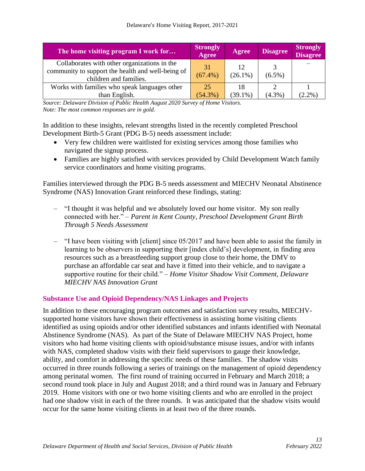| The home visiting program I work for                                                                                        | <b>Strongly</b><br><b>Agree</b> | <b>Agree</b>     | <b>Disagree</b> | <b>Strongly</b><br><b>Disagree</b> |
|-----------------------------------------------------------------------------------------------------------------------------|---------------------------------|------------------|-----------------|------------------------------------|
| Collaborates with other organizations in the<br>community to support the health and well-being of<br>children and families. | 31<br>$(67.4\%)$                | 12<br>$(26.1\%)$ | $(6.5\%)$       |                                    |
| Works with families who speak languages other                                                                               | 25                              | 18               |                 |                                    |
| than English.                                                                                                               | $(54.3\%)$                      | $(39.1\%)$       | $(4.3\%)$       | $(2.2\%)$                          |

*Source: Delaware Division of Public Health August 2020 Survey of Home Visitors. Note: The most common responses are in gold.*

In addition to these insights, relevant strengths listed in the recently completed Preschool Development Birth-5 Grant (PDG B-5) needs assessment include:

- Very few children were waitlisted for existing services among those families who navigated the signup process.
- Families are highly satisfied with services provided by Child Development Watch family service coordinators and home visiting programs.

Families interviewed through the PDG B-5 needs assessment and MIECHV Neonatal Abstinence Syndrome (NAS) Innovation Grant reinforced these findings, stating:

- *–* "I thought it was helpful and we absolutely loved our home visitor. My son really connected with her." – *Parent in Kent County, Preschool Development Grant Birth Through 5 Needs Assessment*
- *–* "I have been visiting with [client] since 05/2017 and have been able to assist the family in learning to be observers in supporting their [index child's] development, in finding area resources such as a breastfeeding support group close to their home, the DMV to purchase an affordable car seat and have it fitted into their vehicle, and to navigate a supportive routine for their child." *– Home Visitor Shadow Visit Comment, Delaware MIECHV NAS Innovation Grant*

## <span id="page-12-0"></span>**Substance Use and Opioid Dependency/NAS Linkages and Projects**

In addition to these encouraging program outcomes and satisfaction survey results, MIECHVsupported home visitors have shown their effectiveness in assisting home visiting clients identified as using opioids and/or other identified substances and infants identified with Neonatal Abstinence Syndrome (NAS). As part of the State of Delaware MIECHV NAS Project, home visitors who had home visiting clients with opioid/substance misuse issues, and/or with infants with NAS, completed shadow visits with their field supervisors to gauge their knowledge, ability, and comfort in addressing the specific needs of these families. The shadow visits occurred in three rounds following a series of trainings on the management of opioid dependency among perinatal women. The first round of training occurred in February and March 2018; a second round took place in July and August 2018; and a third round was in January and February 2019. Home visitors with one or two home visiting clients and who are enrolled in the project had one shadow visit in each of the three rounds. It was anticipated that the shadow visits would occur for the same home visiting clients in at least two of the three rounds.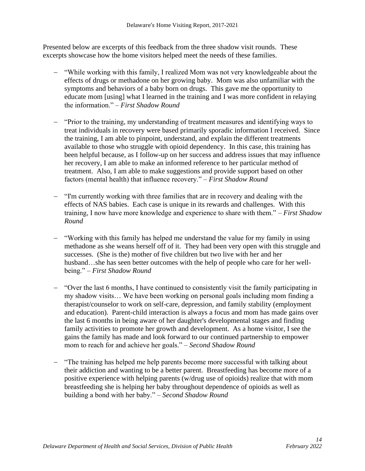Presented below are excerpts of this feedback from the three shadow visit rounds. These excerpts showcase how the home visitors helped meet the needs of these families.

- − "While working with this family, I realized Mom was not very knowledgeable about the effects of drugs or methadone on her growing baby. Mom was also unfamiliar with the symptoms and behaviors of a baby born on drugs. This gave me the opportunity to educate mom [using] what I learned in the training and I was more confident in relaying the information." *– First Shadow Round*
- − "Prior to the training, my understanding of treatment measures and identifying ways to treat individuals in recovery were based primarily sporadic information I received. Since the training, I am able to pinpoint, understand, and explain the different treatments available to those who struggle with opioid dependency. In this case, this training has been helpful because, as I follow-up on her success and address issues that may influence her recovery, I am able to make an informed reference to her particular method of treatment. Also, I am able to make suggestions and provide support based on other factors (mental health) that influence recovery." *– First Shadow Round*
- − "I'm currently working with three families that are in recovery and dealing with the effects of NAS babies. Each case is unique in its rewards and challenges. With this training, I now have more knowledge and experience to share with them." *– First Shadow Round*
- − "Working with this family has helped me understand the value for my family in using methadone as she weans herself off of it. They had been very open with this struggle and successes. (She is the) mother of five children but two live with her and her husband…she has seen better outcomes with the help of people who care for her wellbeing." *– First Shadow Round*
- − "Over the last 6 months, I have continued to consistently visit the family participating in my shadow visits… We have been working on personal goals including mom finding a therapist/counselor to work on self-care, depression, and family stability (employment and education). Parent-child interaction is always a focus and mom has made gains over the last 6 months in being aware of her daughter's developmental stages and finding family activities to promote her growth and development. As a home visitor, I see the gains the family has made and look forward to our continued partnership to empower mom to reach for and achieve her goals." *– Second Shadow Round*
- − "The training has helped me help parents become more successful with talking about their addiction and wanting to be a better parent. Breastfeeding has become more of a positive experience with helping parents (w/drug use of opioids) realize that with mom breastfeeding she is helping her baby throughout dependence of opioids as well as building a bond with her baby." *– Second Shadow Round*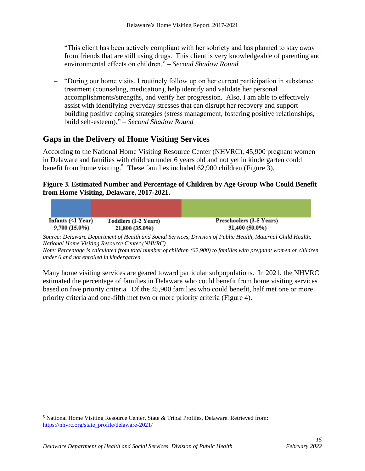- − "This client has been actively compliant with her sobriety and has planned to stay away from friends that are still using drugs. This client is very knowledgeable of parenting and environmental effects on children." *– Second Shadow Round*
- − "During our home visits, I routinely follow up on her current participation in substance treatment (counseling, medication), help identify and validate her personal accomplishments/strengths, and verify her progression. Also, I am able to effectively assist with identifying everyday stresses that can disrupt her recovery and support building positive coping strategies (stress management, fostering positive relationships, build self-esteem)." *– Second Shadow Round*

## <span id="page-14-0"></span>**Gaps in the Delivery of Home Visiting Services**

According to the National Home Visiting Resource Center (NHVRC), 45,900 pregnant women in Delaware and families with children under 6 years old and not yet in kindergarten could benefit from home visiting.<sup>5</sup> These families included 62,900 children (Figure 3).

## **Figure 3. Estimated Number and Percentage of Children by Age Group Who Could Benefit from Home Visiting, Delaware, 2017-2021.**

| Infants $(\leq l$ Year) | Toddlers (1-2 Years) | Preschoolers (3-5 Years)                                                                                           |  |  |
|-------------------------|----------------------|--------------------------------------------------------------------------------------------------------------------|--|--|
| 9,700 (15.0%)           | 21,800 (35.0%)       | 31,400 (50.0%)                                                                                                     |  |  |
|                         |                      | $\mathbf{r}$ .<br>$c \,$ $\sim$ $11 \cdot \frac{11}{11} \cdot \frac{11}{11}$<br>$1 \cap 1$ $1 \cdot 1$ $1 \cdot 1$ |  |  |

*Source: Delaware Department of Health and Social Services, Division of Public Health, Maternal Child Health, National Home Visiting Resource Center (NHVRC)*

*Note: Percentage is calculated from total number of children (62,900) to families with pregnant women or children under 6 and not enrolled in kindergarten.* 

Many home visiting services are geared toward particular subpopulations. In 2021, the NHVRC estimated the percentage of families in Delaware who could benefit from home visiting services based on five priority criteria. Of the 45,900 families who could benefit, half met one or more priority criteria and one-fifth met two or more priority criteria (Figure 4).

<sup>5</sup> National Home Visiting Resource Center. State & Tribal Profiles, Delaware. Retrieved from: [https://nhvrc.org/state\\_profile/delaware-2021/](https://nhvrc.org/state_profile/delaware-2021/)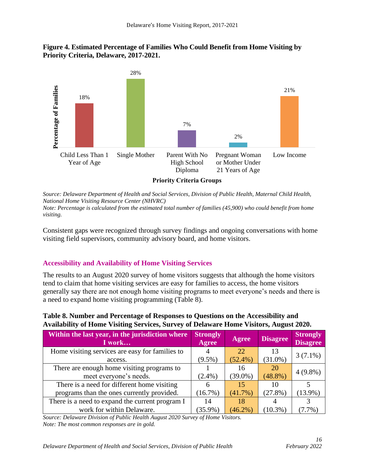## **Figure 4. Estimated Percentage of Families Who Could Benefit from Home Visiting by Priority Criteria, Delaware, 2017-2021.**



*Source: Delaware Department of Health and Social Services, Division of Public Health, Maternal Child Health, National Home Visiting Resource Center (NHVRC) Note: Percentage is calculated from the estimated total number of families (45,900) who could benefit from home visiting.*

Consistent gaps were recognized through survey findings and ongoing conversations with home visiting field supervisors, community advisory board, and home visitors.

## <span id="page-15-0"></span>**Accessibility and Availability of Home Visiting Services**

The results to an August 2020 survey of home visitors suggests that although the home visitors tend to claim that home visiting services are easy for families to access, the home visitors generally say there are not enough home visiting programs to meet everyone's needs and there is a need to expand home visiting programming (Table 8).

| Table 8. Number and Percentage of Responses to Questions on the Accessibility and      |
|----------------------------------------------------------------------------------------|
| Availability of Home Visiting Services, Survey of Delaware Home Visitors, August 2020. |

| Within the last year, in the jurisdiction where<br>I work | <b>Strongly</b><br>Agree | Agree      | <b>Disagree</b> | <b>Strongly</b><br><b>Disagree</b> |
|-----------------------------------------------------------|--------------------------|------------|-----------------|------------------------------------|
| Home visiting services are easy for families to           |                          | 22.        | 13              |                                    |
| access.                                                   | $(9.5\%)$                | $(52.4\%)$ | $(31.0\%)$      | $3(7.1\%)$                         |
| There are enough home visiting programs to                |                          | 16         | 20              |                                    |
| meet everyone's needs.                                    | $(2.4\%)$                | $(39.0\%)$ | $(48.8\%)$      | $4(9.8\%)$                         |
| There is a need for different home visiting               | 6                        | 15         | 10              |                                    |
| programs than the ones currently provided.                | (16.7%)                  | $(41.7\%)$ | (27.8%)         | $(13.9\%)$                         |
| There is a need to expand the current program I           | 14                       | 18         |                 |                                    |
| work for within Delaware.                                 | $(35.9\%)$               | $(46.2\%$  | $(10.3\%)$      |                                    |

*Source: Delaware Division of Public Health August 2020 Survey of Home Visitors. Note: The most common responses are in gold.*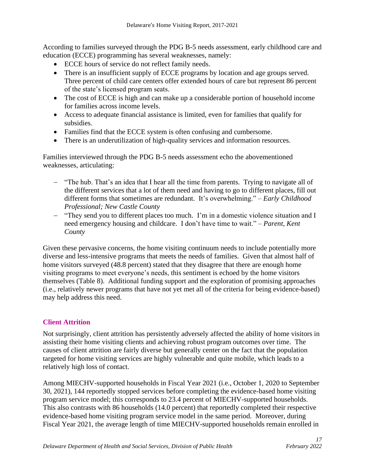According to families surveyed through the PDG B-5 needs assessment, early childhood care and education (ECCE) programming has several weaknesses, namely:

- ECCE hours of service do not reflect family needs.
- There is an insufficient supply of ECCE programs by location and age groups served. Three percent of child care centers offer extended hours of care but represent 86 percent of the state's licensed program seats.
- The cost of ECCE is high and can make up a considerable portion of household income for families across income levels.
- Access to adequate financial assistance is limited, even for families that qualify for subsidies.
- Families find that the ECCE system is often confusing and cumbersome.
- There is an underutilization of high-quality services and information resources.

Families interviewed through the PDG B-5 needs assessment echo the abovementioned weaknesses, articulating:

- − "The hub. That's an idea that I hear all the time from parents. Trying to navigate all of the different services that a lot of them need and having to go to different places, fill out different forms that sometimes are redundant. It's overwhelming." – *Early Childhood Professional; New Castle County*
- − "They send you to different places too much. I'm in a domestic violence situation and I need emergency housing and childcare. I don't have time to wait." – *Parent, Kent County*

Given these pervasive concerns, the home visiting continuum needs to include potentially more diverse and less-intensive programs that meets the needs of families. Given that almost half of home visitors surveyed (48.8 percent) stated that they disagree that there are enough home visiting programs to meet everyone's needs, this sentiment is echoed by the home visitors themselves (Table 8). Additional funding support and the exploration of promising approaches (i.e., relatively newer programs that have not yet met all of the criteria for being evidence-based) may help address this need.

## <span id="page-16-0"></span>**Client Attrition**

Not surprisingly, client attrition has persistently adversely affected the ability of home visitors in assisting their home visiting clients and achieving robust program outcomes over time. The causes of client attrition are fairly diverse but generally center on the fact that the population targeted for home visiting services are highly vulnerable and quite mobile, which leads to a relatively high loss of contact.

Among MIECHV-supported households in Fiscal Year 2021 (i.e., October 1, 2020 to September 30, 2021), 144 reportedly stopped services before completing the evidence-based home visiting program service model; this corresponds to 23.4 percent of MIECHV-supported households. This also contrasts with 86 households (14.0 percent) that reportedly completed their respective evidence-based home visiting program service model in the same period. Moreover, during Fiscal Year 2021, the average length of time MIECHV-supported households remain enrolled in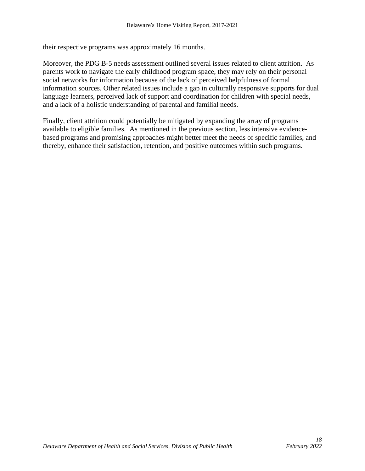their respective programs was approximately 16 months.

Moreover, the PDG B-5 needs assessment outlined several issues related to client attrition. As parents work to navigate the early childhood program space, they may rely on their personal social networks for information because of the lack of perceived helpfulness of formal information sources. Other related issues include a gap in culturally responsive supports for dual language learners, perceived lack of support and coordination for children with special needs, and a lack of a holistic understanding of parental and familial needs.

<span id="page-17-0"></span>Finally, client attrition could potentially be mitigated by expanding the array of programs available to eligible families. As mentioned in the previous section, less intensive evidencebased programs and promising approaches might better meet the needs of specific families, and thereby, enhance their satisfaction, retention, and positive outcomes within such programs.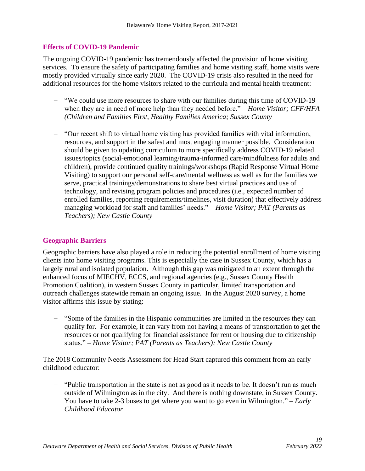#### **Effects of COVID-19 Pandemic**

The ongoing COVID-19 pandemic has tremendously affected the provision of home visiting services. To ensure the safety of participating families and home visiting staff, home visits were mostly provided virtually since early 2020. The COVID-19 crisis also resulted in the need for additional resources for the home visitors related to the curricula and mental health treatment:

- − "We could use more resources to share with our families during this time of COVID-19 when they are in need of more help than they needed before." *– Home Visitor; CFF/HFA (Children and Families First, Healthy Families America; Sussex County*
- − "Our recent shift to virtual home visiting has provided families with vital information, resources, and support in the safest and most engaging manner possible. Consideration should be given to updating curriculum to more specifically address COVID-19 related issues/topics (social-emotional learning/trauma-informed care/mindfulness for adults and children), provide continued quality trainings/workshops (Rapid Response Virtual Home Visiting) to support our personal self-care/mental wellness as well as for the families we serve, practical trainings/demonstrations to share best virtual practices and use of technology, and revising program policies and procedures (i.e., expected number of enrolled families, reporting requirements/timelines, visit duration) that effectively address managing workload for staff and families' needs." – *Home Visitor; PAT (Parents as Teachers); New Castle County*

## <span id="page-18-0"></span>**Geographic Barriers**

Geographic barriers have also played a role in reducing the potential enrollment of home visiting clients into home visiting programs. This is especially the case in Sussex County, which has a largely rural and isolated population. Although this gap was mitigated to an extent through the enhanced focus of MIECHV, ECCS, and regional agencies (e.g., Sussex County Health Promotion Coalition), in western Sussex County in particular, limited transportation and outreach challenges statewide remain an ongoing issue. In the August 2020 survey, a home visitor affirms this issue by stating:

− "Some of the families in the Hispanic communities are limited in the resources they can qualify for. For example, it can vary from not having a means of transportation to get the resources or not qualifying for financial assistance for rent or housing due to citizenship status." – *Home Visitor; PAT (Parents as Teachers); New Castle County*

The 2018 Community Needs Assessment for Head Start captured this comment from an early childhood educator:

− "Public transportation in the state is not as good as it needs to be. It doesn't run as much outside of Wilmington as in the city. And there is nothing downstate, in Sussex County. You have to take 2-3 buses to get where you want to go even in Wilmington." – *Early Childhood Educator*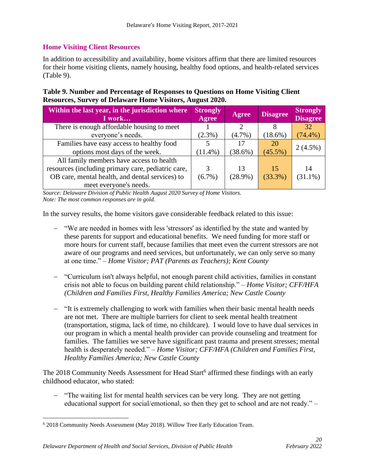## <span id="page-19-0"></span>**Home Visiting Client Resources**

In addition to accessibility and availability, home visitors affirm that there are limited resources for their home visiting clients, namely housing, healthy food options, and health-related services (Table 9).

**Table 9. Number and Percentage of Responses to Questions on Home Visiting Client Resources, Survey of Delaware Home Visitors, August 2020.**

| Within the last year, in the jurisdiction where<br>I work | <b>Strongly</b><br>Agree | Agree      | <b>Disagree</b> | <b>Strongly</b><br><b>Disagree</b> |
|-----------------------------------------------------------|--------------------------|------------|-----------------|------------------------------------|
| There is enough affordable housing to meet                |                          |            |                 | 32                                 |
| everyone's needs.                                         | $(2.3\%)$                | $(4.7\%)$  | (18.6%)         | $(74.4\%)$                         |
| Families have easy access to healthy food                 |                          |            | 20              |                                    |
| options most days of the week.                            | $(11.4\%)$               | (38.6%)    | $(45.5\%)$      | $2(4.5\%)$                         |
| All family members have access to health                  |                          |            |                 |                                    |
| resources (including primary care, pediatric care,        |                          | 13         | 15              | 14                                 |
| OB care, mental health, and dental services) to           | $(6.7\%)$                | $(28.9\%)$ | (33.3%)         | $(31.1\%)$                         |
| meet everyone's needs.                                    |                          |            |                 |                                    |

*Source: Delaware Division of Public Health August 2020 Survey of Home Visitors. Note: The most common responses are in gold.*

In the survey results, the home visitors gave considerable feedback related to this issue:

- − "We are needed in homes with less 'stressors' as identified by the state and wanted by these parents for support and educational benefits. We need funding for more staff or more hours for current staff, because families that meet even the current stressors are not aware of our programs and need services, but unfortunately, we can only serve so many at one time." – *Home Visitor; PAT (Parents as Teachers); Kent County*
- − "Curriculum isn't always helpful, not enough parent child activities, families in constant crisis not able to focus on building parent child relationship." *– Home Visitor; CFF/HFA (Children and Families First, Healthy Families America; New Castle County*
- − "It is extremely challenging to work with families when their basic mental health needs are not met. There are multiple barriers for client to seek mental health treatment (transportation, stigma, lack of time, no childcare). I would love to have dual services in our program in which a mental health provider can provide counseling and treatment for families. The families we serve have significant past trauma and present stresses; mental health is desperately needed." *– Home Visitor; CFF/HFA (Children and Families First, Healthy Families America; New Castle County*

The 2018 Community Needs Assessment for Head Start<sup>6</sup> affirmed these findings with an early childhood educator, who stated:

− "The waiting list for mental health services can be very long. They are not getting educational support for social/emotional, so then they get to school and are not ready." –

<sup>6</sup> 2018 Community Needs Assessment (May 2018). Willow Tree Early Education Team.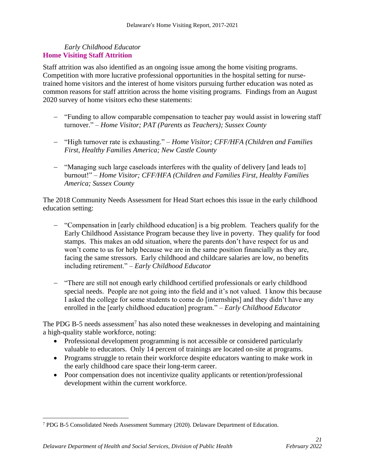#### <span id="page-20-0"></span>*Early Childhood Educator* **Home Visiting Staff Attrition**

Staff attrition was also identified as an ongoing issue among the home visiting programs. Competition with more lucrative professional opportunities in the hospital setting for nursetrained home visitors and the interest of home visitors pursuing further education was noted as common reasons for staff attrition across the home visiting programs. Findings from an August 2020 survey of home visitors echo these statements:

- − "Funding to allow comparable compensation to teacher pay would assist in lowering staff turnover." – *Home Visitor; PAT (Parents as Teachers); Sussex County*
- − "High turnover rate is exhausting." *– Home Visitor; CFF/HFA (Children and Families First, Healthy Families America; New Castle County*
- − "Managing such large caseloads interferes with the quality of delivery [and leads to] burnout!" – *Home Visitor; CFF/HFA (Children and Families First, Healthy Families America; Sussex County*

The 2018 Community Needs Assessment for Head Start echoes this issue in the early childhood education setting:

- − "Compensation in [early childhood education] is a big problem. Teachers qualify for the Early Childhood Assistance Program because they live in poverty. They qualify for food stamps. This makes an odd situation, where the parents don't have respect for us and won't come to us for help because we are in the same position financially as they are, facing the same stressors. Early childhood and childcare salaries are low, no benefits including retirement." – *Early Childhood Educator*
- − "There are still not enough early childhood certified professionals or early childhood special needs. People are not going into the field and it's not valued. I know this because I asked the college for some students to come do [internships] and they didn't have any enrolled in the [early childhood education] program." – *Early Childhood Educator*

The PDG B-5 needs assessment<sup>7</sup> has also noted these weaknesses in developing and maintaining a high-quality stable workforce, noting:

- Professional development programming is not accessible or considered particularly valuable to educators. Only 14 percent of trainings are located on-site at programs.
- Programs struggle to retain their workforce despite educators wanting to make work in the early childhood care space their long-term career.
- <span id="page-20-1"></span>• Poor compensation does not incentivize quality applicants or retention/professional development within the current workforce.

<sup>7</sup> PDG B-5 Consolidated Needs Assessment Summary (2020). Delaware Department of Education.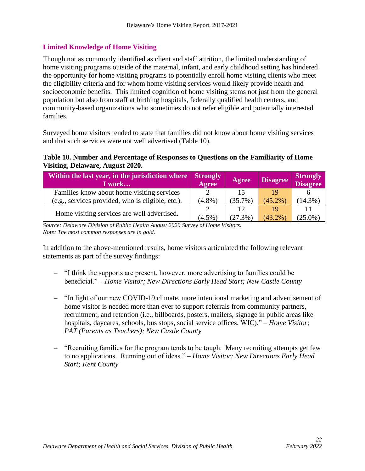## **Limited Knowledge of Home Visiting**

Though not as commonly identified as client and staff attrition, the limited understanding of home visiting programs outside of the maternal, infant, and early childhood setting has hindered the opportunity for home visiting programs to potentially enroll home visiting clients who meet the eligibility criteria and for whom home visiting services would likely provide health and socioeconomic benefits. This limited cognition of home visiting stems not just from the general population but also from staff at birthing hospitals, federally qualified health centers, and community-based organizations who sometimes do not refer eligible and potentially interested families.

Surveyed home visitors tended to state that families did not know about home visiting services and that such services were not well advertised (Table 10).

## **Table 10. Number and Percentage of Responses to Questions on the Familiarity of Home Visiting, Delaware, August 2020.**

| Within the last year, in the jurisdiction where Strongly<br>I work | Agree     | Agree      | <b>Disagree</b> | <b>Strongly</b><br><b>Disagree</b> |
|--------------------------------------------------------------------|-----------|------------|-----------------|------------------------------------|
| Families know about home visiting services                         |           | 15         |                 |                                    |
| (e.g., services provided, who is eligible, etc.).                  | $(4.8\%)$ | $(35.7\%)$ | $(45.2\%)$      | $(14.3\%)$                         |
|                                                                    |           | 12         | 19              |                                    |
| Home visiting services are well advertised.                        | $(4.5\%$  | $(27.3\%)$ | $(43.2\%$       | $25.0\%$                           |

*Source: Delaware Division of Public Health August 2020 Survey of Home Visitors. Note: The most common responses are in gold.*

In addition to the above-mentioned results, home visitors articulated the following relevant statements as part of the survey findings:

- − "I think the supports are present, however, more advertising to families could be beneficial." *– Home Visitor; New Directions Early Head Start; New Castle County*
- − "In light of our new COVID-19 climate, more intentional marketing and advertisement of home visitor is needed more than ever to support referrals from community partners, recruitment, and retention (i.e., billboards, posters, mailers, signage in public areas like hospitals, daycares, schools, bus stops, social service offices, WIC)." – *Home Visitor; PAT (Parents as Teachers); New Castle County*
- − "Recruiting families for the program tends to be tough. Many recruiting attempts get few to no applications. Running out of ideas." *– Home Visitor; New Directions Early Head Start; Kent County*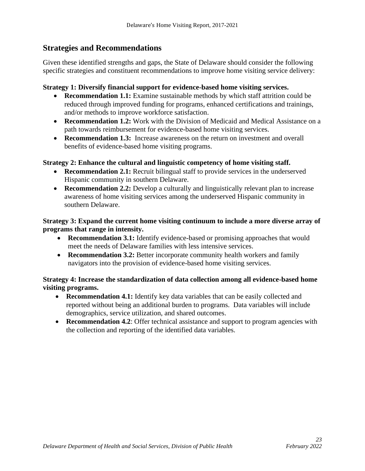## <span id="page-22-0"></span>**Strategies and Recommendations**

Given these identified strengths and gaps, the State of Delaware should consider the following specific strategies and constituent recommendations to improve home visiting service delivery:

#### **Strategy 1: Diversify financial support for evidence-based home visiting services.**

- **Recommendation 1.1:** Examine sustainable methods by which staff attrition could be reduced through improved funding for programs, enhanced certifications and trainings, and/or methods to improve workforce satisfaction.
- **Recommendation 1.2:** Work with the Division of Medicaid and Medical Assistance on a path towards reimbursement for evidence-based home visiting services.
- **Recommendation 1.3:** Increase awareness on the return on investment and overall benefits of evidence-based home visiting programs.

## **Strategy 2: Enhance the cultural and linguistic competency of home visiting staff.**

- **Recommendation 2.1:** Recruit bilingual staff to provide services in the underserved Hispanic community in southern Delaware.
- **Recommendation 2.2:** Develop a culturally and linguistically relevant plan to increase awareness of home visiting services among the underserved Hispanic community in southern Delaware.

## **Strategy 3: Expand the current home visiting continuum to include a more diverse array of programs that range in intensity.**

- **Recommendation 3.1:** Identify evidence-based or promising approaches that would meet the needs of Delaware families with less intensive services.
- **Recommendation 3.2:** Better incorporate community health workers and family navigators into the provision of evidence-based home visiting services.

## **Strategy 4: Increase the standardization of data collection among all evidence-based home visiting programs.**

- **Recommendation 4.1:** Identify key data variables that can be easily collected and reported without being an additional burden to programs. Data variables will include demographics, service utilization, and shared outcomes.
- **Recommendation 4.2**: Offer technical assistance and support to program agencies with the collection and reporting of the identified data variables.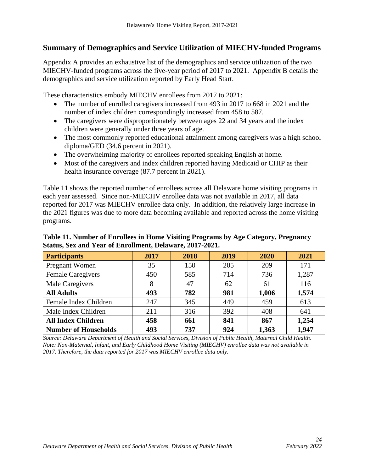## <span id="page-23-0"></span>**Summary of Demographics and Service Utilization of MIECHV-funded Programs**

Appendix A provides an exhaustive list of the demographics and service utilization of the two MIECHV-funded programs across the five-year period of 2017 to 2021. Appendix B details the demographics and service utilization reported by Early Head Start.

These characteristics embody MIECHV enrollees from 2017 to 2021:

- The number of enrolled caregivers increased from 493 in 2017 to 668 in 2021 and the number of index children correspondingly increased from 458 to 587.
- The caregivers were disproportionately between ages 22 and 34 years and the index children were generally under three years of age.
- The most commonly reported educational attainment among caregivers was a high school diploma/GED (34.6 percent in 2021).
- The overwhelming majority of enrollees reported speaking English at home.
- Most of the caregivers and index children reported having Medicaid or CHIP as their health insurance coverage (87.7 percent in 2021).

Table 11 shows the reported number of enrollees across all Delaware home visiting programs in each year assessed. Since non-MIECHV enrollee data was not available in 2017, all data reported for 2017 was MIECHV enrollee data only. In addition, the relatively large increase in the 2021 figures was due to more data becoming available and reported across the home visiting programs.

| <b>Participants</b>         | 2017 | 2018 | 2019 | 2020  | 2021  |
|-----------------------------|------|------|------|-------|-------|
| Pregnant Women              | 35   | 150  | 205  | 209   | 171   |
| <b>Female Caregivers</b>    | 450  | 585  | 714  | 736   | 1,287 |
| Male Caregivers             | 8    | 47   | 62   | 61    | 116   |
| <b>All Adults</b>           | 493  | 782  | 981  | 1,006 | 1,574 |
| Female Index Children       | 247  | 345  | 449  | 459   | 613   |
| Male Index Children         | 211  | 316  | 392  | 408   | 641   |
| <b>All Index Children</b>   | 458  | 661  | 841  | 867   | 1,254 |
| <b>Number of Households</b> | 493  | 737  | 924  | 1,363 | 1,947 |

**Table 11. Number of Enrollees in Home Visiting Programs by Age Category, Pregnancy Status, Sex and Year of Enrollment, Delaware, 2017-2021.** 

<span id="page-23-1"></span>*Source: Delaware Department of Health and Social Services, Division of Public Health, Maternal Child Health. Note: Non-Maternal, Infant, and Early Childhood Home Visiting (MIECHV) enrollee data was not available in 2017. Therefore, the data reported for 2017 was MIECHV enrollee data only.*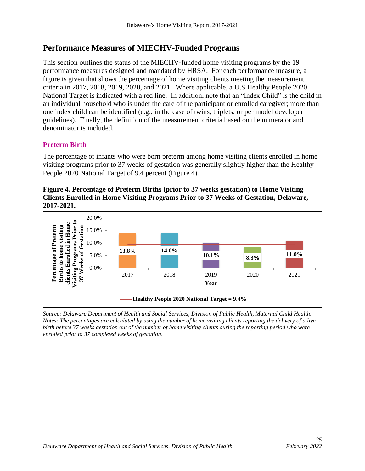## **Performance Measures of MIECHV-Funded Programs**

This section outlines the status of the MIECHV-funded home visiting programs by the 19 performance measures designed and mandated by HRSA. For each performance measure, a figure is given that shows the percentage of home visiting clients meeting the measurement criteria in 2017, 2018, 2019, 2020, and 2021. Where applicable, a U.S Healthy People 2020 National Target is indicated with a red line. In addition, note that an "Index Child" is the child in an individual household who is under the care of the participant or enrolled caregiver; more than one index child can be identified (e.g., in the case of twins, triplets, or per model developer guidelines). Finally, the definition of the measurement criteria based on the numerator and denominator is included.

## <span id="page-24-0"></span>**Preterm Birth**

The percentage of infants who were born preterm among home visiting clients enrolled in home visiting programs prior to 37 weeks of gestation was generally slightly higher than the Healthy People 2020 National Target of 9.4 percent (Figure 4).

#### **Figure 4. Percentage of Preterm Births (prior to 37 weeks gestation) to Home Visiting Clients Enrolled in Home Visiting Programs Prior to 37 Weeks of Gestation, Delaware, 2017-2021.**



<span id="page-24-1"></span>*Source: Delaware Department of Health and Social Services, Division of Public Health, Maternal Child Health. Notes: The percentages are calculated by using the number of home visiting clients reporting the delivery of a live birth before 37 weeks gestation out of the number of home visiting clients during the reporting period who were enrolled prior to 37 completed weeks of gestation.*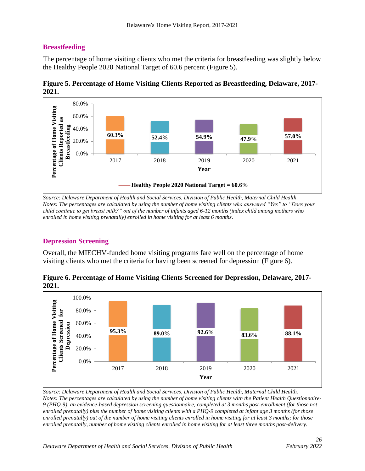## **Breastfeeding**

The percentage of home visiting clients who met the criteria for breastfeeding was slightly below the Healthy People 2020 National Target of 60.6 percent (Figure 5).



<span id="page-25-0"></span>

*Source: Delaware Department of Health and Social Services, Division of Public Health, Maternal Child Health. Notes: The percentages are calculated by using the number of home visiting clients who answered "Yes" to "Does your child continue to get breast milk?" out of the number of infants aged 6-12 months (index child among mothers who enrolled in home visiting prenatally) enrolled in home visiting for at least 6 months.*

## **Depression Screening**

Overall, the MIECHV-funded home visiting programs fare well on the percentage of home visiting clients who met the criteria for having been screened for depression (Figure 6).



**Figure 6. Percentage of Home Visiting Clients Screened for Depression, Delaware, 2017- 2021.**

<span id="page-25-1"></span>*Source: Delaware Department of Health and Social Services, Division of Public Health, Maternal Child Health. Notes: The percentages are calculated by using the number of home visiting clients with the Patient Health Questionnaire-9 (PHQ-9), an evidence-based depression screening questionnaire, completed at 3 months post-enrollment (for those not enrolled prenatally) plus the number of home visiting clients with a PHQ-9 completed at infant age 3 months (for those enrolled prenatally) out of the number of home visiting clients enrolled in home visiting for at least 3 months; for those enrolled prenatally, number of home visiting clients enrolled in home visiting for at least three months post-delivery.*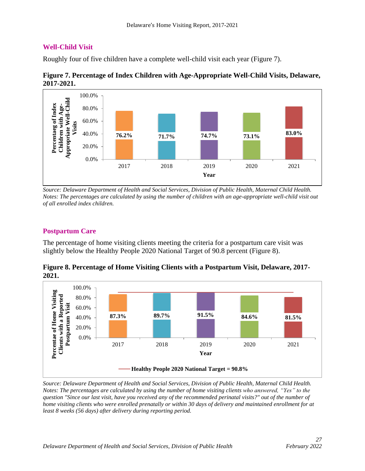## **Well-Child Visit**

Roughly four of five children have a complete well-child visit each year (Figure 7).





<span id="page-26-0"></span>*Source: Delaware Department of Health and Social Services, Division of Public Health, Maternal Child Health. Notes: The percentages are calculated by using the number of children with an age-appropriate well-child visit out of all enrolled index children.*

## **Postpartum Care**

The percentage of home visiting clients meeting the criteria for a postpartum care visit was slightly below the Healthy People 2020 National Target of 90.8 percent (Figure 8).

**Figure 8. Percentage of Home Visiting Clients with a Postpartum Visit, Delaware, 2017- 2021.**



<span id="page-26-1"></span>*Source: Delaware Department of Health and Social Services, Division of Public Health, Maternal Child Health. Notes: The percentages are calculated by using the number of home visiting clients who answered, "Yes" to the question "Since our last visit, have you received any of the recommended perinatal visits?" out of the number of home visiting clients who were enrolled prenatally or within 30 days of delivery and maintained enrollment for at least 8 weeks (56 days) after delivery during reporting period.*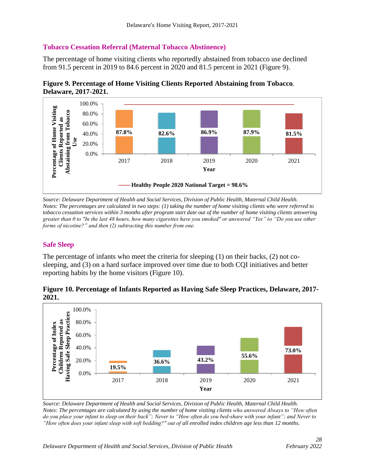#### **Tobacco Cessation Referral (Maternal Tobacco Abstinence)**

The percentage of home visiting clients who reportedly abstained from tobacco use declined from 91.5 percent in 2019 to 84.6 percent in 2020 and 81.5 percent in 2021 (Figure 9).





<span id="page-27-0"></span>*Source: Delaware Department of Health and Social Services, Division of Public Health, Maternal Child Health. Notes: The percentages are calculated in two steps: (1) taking the number of home visiting clients who were referred to tobacco cessation services within 3 months after program start date out of the number of home visiting clients answering greater than 0 to "In the last 48 hours, how many cigarettes have you smoked" or answered "Yes" to "Do you use other forms of nicotine?" and then (2) subtracting this number from one.*

## **Safe Sleep**

The percentage of infants who meet the criteria for sleeping (1) on their backs, (2) not cosleeping, and (3) on a hard surface improved over time due to both CQI initiatives and better reporting habits by the home visitors (Figure 10).





<span id="page-27-1"></span>*Source: Delaware Department of Health and Social Services, Division of Public Health, Maternal Child Health. Notes: The percentages are calculated by using the number of home visiting clients who answered Always to "How often do you place your infant to sleep on their back"; Never to "How often do you bed-share with your infant"; and Never to "How often does your infant sleep with soft bedding?" out of all enrolled index children age less than 12 months.*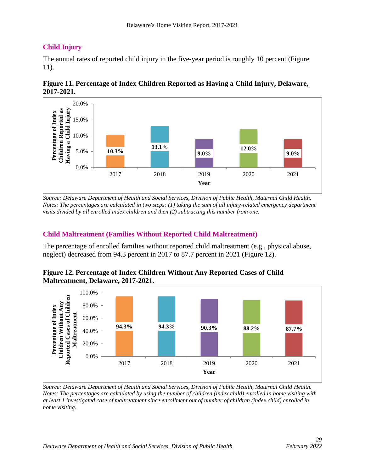## **Child Injury**

The annual rates of reported child injury in the five-year period is roughly 10 percent (Figure 11).





*Source: Delaware Department of Health and Social Services, Division of Public Health, Maternal Child Health. Notes: The percentages are calculated in two steps: (1) taking the sum of all injury-related emergency department visits divided by all enrolled index children and then (2) subtracting this number from one.*

## <span id="page-28-0"></span>**Child Maltreatment (Families Without Reported Child Maltreatment)**

The percentage of enrolled families without reported child maltreatment (e.g., physical abuse, neglect) decreased from 94.3 percent in 2017 to 87.7 percent in 2021 (Figure 12).





<span id="page-28-1"></span>*Source: Delaware Department of Health and Social Services, Division of Public Health, Maternal Child Health. Notes: The percentages are calculated by using the number of children (index child) enrolled in home visiting with at least 1 investigated case of maltreatment since enrollment out of number of children (index child) enrolled in home visiting.*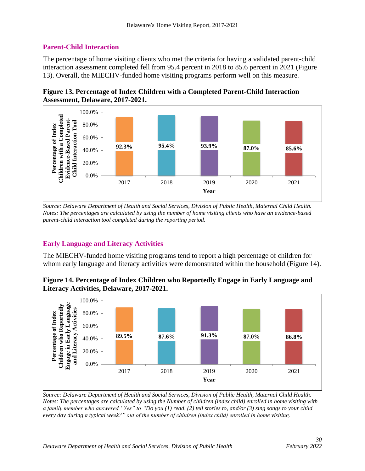## **Parent-Child Interaction**

The percentage of home visiting clients who met the criteria for having a validated parent-child interaction assessment completed fell from 95.4 percent in 2018 to 85.6 percent in 2021 (Figure 13). Overall, the MIECHV-funded home visiting programs perform well on this measure.





<span id="page-29-0"></span>*Source: Delaware Department of Health and Social Services, Division of Public Health, Maternal Child Health. Notes: The percentages are calculated by using the number of home visiting clients who have an evidence-based parent-child interaction tool completed during the reporting period.*

## **Early Language and Literacy Activities**

The MIECHV-funded home visiting programs tend to report a high percentage of children for whom early language and literacy activities were demonstrated within the household (Figure 14).

**Figure 14. Percentage of Index Children who Reportedly Engage in Early Language and Literacy Activities, Delaware, 2017-2021.**



<span id="page-29-1"></span>*Source: Delaware Department of Health and Social Services, Division of Public Health, Maternal Child Health. Notes: The percentages are calculated by using the Number of children (index child) enrolled in home visiting with a family member who answered "Yes" to "Do you (1) read, (2) tell stories to, and/or (3) sing songs to your child every day during a typical week?" out of the number of children (index child) enrolled in home visiting.*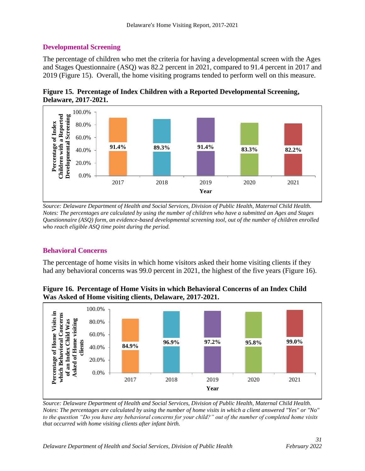## **Developmental Screening**

The percentage of children who met the criteria for having a developmental screen with the Ages and Stages Questionnaire (ASQ) was 82.2 percent in 2021, compared to 91.4 percent in 2017 and 2019 (Figure 15). Overall, the home visiting programs tended to perform well on this measure.





*Source: Delaware Department of Health and Social Services, Division of Public Health, Maternal Child Health. Notes: The percentages are calculated by using the number of children who have a submitted an Ages and Stages Questionnaire (ASQ) form, an evidence-based developmental screening tool, out of the number of children enrolled who reach eligible ASQ time point during the period.*

## <span id="page-30-0"></span>**Behavioral Concerns**

The percentage of home visits in which home visitors asked their home visiting clients if they had any behavioral concerns was 99.0 percent in 2021, the highest of the five years (Figure 16).



**Figure 16. Percentage of Home Visits in which Behavioral Concerns of an Index Child Was Asked of Home visiting clients, Delaware, 2017-2021.**

*Source: Delaware Department of Health and Social Services, Division of Public Health, Maternal Child Health. Notes: The percentages are calculated by using the number of home visits in which a client answered "Yes" or "No" to the question "Do you have any behavioral concerns for your child?" out of the number of completed home visits that occurred with home visiting clients after infant birth.*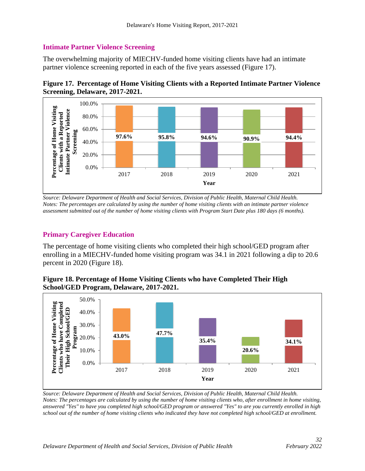## <span id="page-31-0"></span>**Intimate Partner Violence Screening**

The overwhelming majority of MIECHV-funded home visiting clients have had an intimate partner violence screening reported in each of the five years assessed (Figure 17).





*Source: Delaware Department of Health and Social Services, Division of Public Health, Maternal Child Health. Notes: The percentages are calculated by using the number of home visiting clients with an intimate partner violence assessment submitted out of the number of home visiting clients with Program Start Date plus 180 days (6 months).*

## <span id="page-31-1"></span>**Primary Caregiver Education**

The percentage of home visiting clients who completed their high school/GED program after enrolling in a MIECHV-funded home visiting program was 34.1 in 2021 following a dip to 20.6 percent in 2020 (Figure 18).



**Figure 18. Percentage of Home Visiting Clients who have Completed Their High School/GED Program, Delaware, 2017-2021.**

<span id="page-31-2"></span>*Source: Delaware Department of Health and Social Services, Division of Public Health, Maternal Child Health. Notes: The percentages are calculated by using the number of home visiting clients who, after enrollment in home visiting, answered "Yes" to have you completed high school/GED program or answered "Yes" to are you currently enrolled in high school out of the number of home visiting clients who indicated they have not completed high school/GED at enrollment.*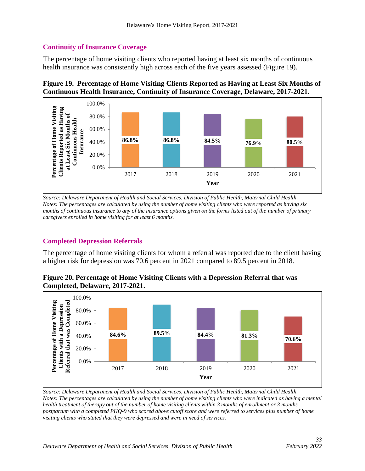## **Continuity of Insurance Coverage**

The percentage of home visiting clients who reported having at least six months of continuous health insurance was consistently high across each of the five years assessed (Figure 19).

#### **Figure 19. Percentage of Home Visiting Clients Reported as Having at Least Six Months of Continuous Health Insurance, Continuity of Insurance Coverage, Delaware, 2017-2021.**



*Source: Delaware Department of Health and Social Services, Division of Public Health, Maternal Child Health. Notes: The percentages are calculated by using the number of home visiting clients who were reported as having six months of continuous insurance to any of the insurance options given on the forms listed out of the number of primary caregivers enrolled in home visiting for at least 6 months.*

## <span id="page-32-0"></span>**Completed Depression Referrals**

The percentage of home visiting clients for whom a referral was reported due to the client having a higher risk for depression was 70.6 percent in 2021 compared to 89.5 percent in 2018.

#### **Figure 20. Percentage of Home Visiting Clients with a Depression Referral that was Completed, Delaware, 2017-2021.**



<span id="page-32-1"></span>*Source: Delaware Department of Health and Social Services, Division of Public Health, Maternal Child Health. Notes: The percentages are calculated by using the number of home visiting clients who were indicated as having a mental health treatment of therapy out of the number of home visiting clients within 3 months of enrollment or 3 months postpartum with a completed PHQ-9 who scored above cutoff score and were referred to services plus number of home visiting clients who stated that they were depressed and were in need of services.*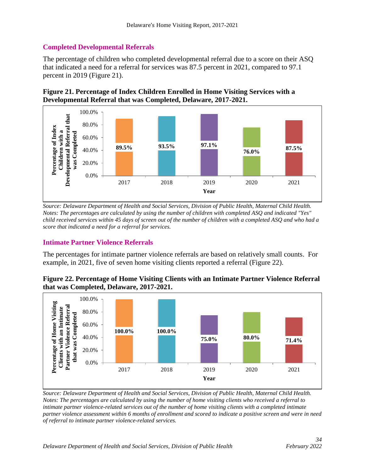## **Completed Developmental Referrals**

The percentage of children who completed developmental referral due to a score on their ASQ that indicated a need for a referral for services was 87.5 percent in 2021, compared to 97.1 percent in 2019 (Figure 21).





*Source: Delaware Department of Health and Social Services, Division of Public Health, Maternal Child Health. Notes: The percentages are calculated by using the number of children with completed ASQ and indicated "Yes" child received services within 45 days of screen out of the number of children with a completed ASQ and who had a score that indicated a need for a referral for services.*

## <span id="page-33-0"></span>**Intimate Partner Violence Referrals**

The percentages for intimate partner violence referrals are based on relatively small counts. For example, in 2021, five of seven home visiting clients reported a referral (Figure 22).

## **Figure 22. Percentage of Home Visiting Clients with an Intimate Partner Violence Referral that was Completed, Delaware, 2017-2021.**



*Source: Delaware Department of Health and Social Services, Division of Public Health, Maternal Child Health. Notes: The percentages are calculated by using the number of home visiting clients who received a referral to intimate partner violence-related services out of the number of home visiting clients with a completed intimate partner violence assessment within 6 months of enrollment and scored to indicate a positive screen and were in need of referral to intimate partner violence-related services.*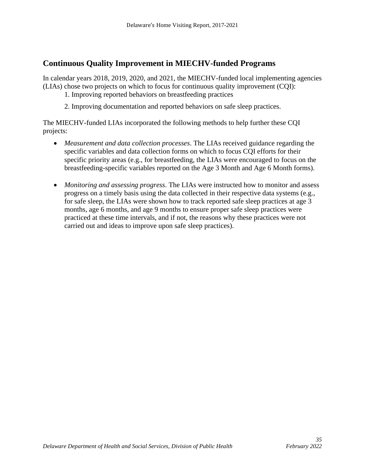## <span id="page-34-0"></span>**Continuous Quality Improvement in MIECHV-funded Programs**

In calendar years 2018, 2019, 2020, and 2021, the MIECHV-funded local implementing agencies (LIAs) chose two projects on which to focus for continuous quality improvement (CQI):

- 1. Improving reported behaviors on breastfeeding practices
- 2. Improving documentation and reported behaviors on safe sleep practices.

The MIECHV-funded LIAs incorporated the following methods to help further these CQI projects:

- *Measurement and data collection processes*. The LIAs received guidance regarding the specific variables and data collection forms on which to focus CQI efforts for their specific priority areas (e.g., for breastfeeding, the LIAs were encouraged to focus on the breastfeeding-specific variables reported on the Age 3 Month and Age 6 Month forms).
- *Monitoring and assessing progress*. The LIAs were instructed how to monitor and assess progress on a timely basis using the data collected in their respective data systems (e.g., for safe sleep, the LIAs were shown how to track reported safe sleep practices at age 3 months, age 6 months, and age 9 months to ensure proper safe sleep practices were practiced at these time intervals, and if not, the reasons why these practices were not carried out and ideas to improve upon safe sleep practices).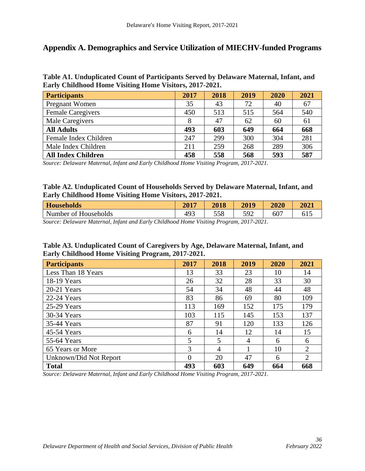## <span id="page-35-0"></span>**Appendix A. Demographics and Service Utilization of MIECHV-funded Programs**

**Table A1. Unduplicated Count of Participants Served by Delaware Maternal, Infant, and Early Childhood Home Visiting Home Visitors, 2017-2021.**

| <b>Participants</b>       | 2017 | 2018 | 2019 | 2020 | 2021 |
|---------------------------|------|------|------|------|------|
| Pregnant Women            | 35   | 43   | 72   | 40   | 67   |
| <b>Female Caregivers</b>  | 450  | 513  | 515  | 564  | 540  |
| Male Caregivers           |      | 47   | 62   | 60   | 61   |
| <b>All Adults</b>         | 493  | 603  | 649  | 664  | 668  |
| Female Index Children     | 247  | 299  | 300  | 304  | 281  |
| Male Index Children       | 211  | 259  | 268  | 289  | 306  |
| <b>All Index Children</b> | 458  | 558  | 568  | 593  | 587  |

*Source: Delaware Maternal, Infant and Early Childhood Home Visiting Program, 2017-2021.*

#### **Table A2. Unduplicated Count of Households Served by Delaware Maternal, Infant, and Early Childhood Home Visiting Home Visitors, 2017-2021.**

| <b>Households</b> | 2017<br>40 L | 2018 | 2019 | 2020            | 2021 |
|-------------------|--------------|------|------|-----------------|------|
| Number of         | 402          | 558  | 592  | $\sim$          | -1 - |
| 'Households       | ナノコ          |      | ັ    | 00 <sub>1</sub> | ∪⊥⊃  |

*Source: Delaware Maternal, Infant and Early Childhood Home Visiting Program, 2017-2021.*

| Table A3. Unduplicated Count of Caregivers by Age, Delaware Maternal, Infant, and |
|-----------------------------------------------------------------------------------|
| Early Childhood Home Visiting Program, 2017-2021.                                 |

| <b>Participants</b>    | 2017     | 2018 | 2019           | 2020 | 2021 |
|------------------------|----------|------|----------------|------|------|
| Less Than 18 Years     | 13       | 33   | 23             | 10   | 14   |
| 18-19 Years            | 26       | 32   | 28             | 33   | 30   |
| 20-21 Years            | 54       | 34   | 48             | 44   | 48   |
| 22-24 Years            | 83       | 86   | 69             | 80   | 109  |
| 25-29 Years            | 113      | 169  | 152            | 175  | 179  |
| 30-34 Years            | 103      | 115  | 145            | 153  | 137  |
| 35-44 Years            | 87       | 91   | 120            | 133  | 126  |
| 45-54 Years            | 6        | 14   | 12             | 14   | 15   |
| 55-64 Years            | 5        | 5    | $\overline{4}$ | 6    | 6    |
| 65 Years or More       | 3        | 4    |                | 10   | 2    |
| Unknown/Did Not Report | $\Omega$ | 20   | 47             | 6    | 2    |
| <b>Total</b>           | 493      | 603  | 649            | 664  | 668  |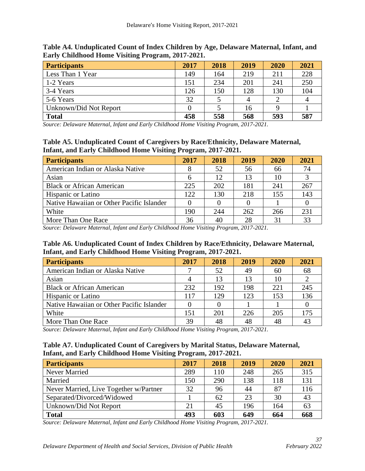| <b>Participants</b>    | 2017 | 2018 | 2019 | 2020 | 2021 |
|------------------------|------|------|------|------|------|
| Less Than 1 Year       | 149  | 164  | 219  | 211  | 228  |
| 1-2 Years              | 151  | 234  | 201  | 241  | 250  |
| 3-4 Years              | 126  | 150  | 128  | 130  | 104  |
| 5-6 Years              | 32   |      |      |      | 4    |
| Unknown/Did Not Report |      |      | 16   |      |      |
| <b>Total</b>           | 458  | 558  | 568  | 593  | 587  |

**Table A4. Unduplicated Count of Index Children by Age, Delaware Maternal, Infant, and Early Childhood Home Visiting Program, 2017-2021.**

**Table A5. Unduplicated Count of Caregivers by Race/Ethnicity, Delaware Maternal, Infant, and Early Childhood Home Visiting Program, 2017-2021.**

| <b>Participants</b>                       | 2017 | 2018 | 2019 | 2020 | 2021 |
|-------------------------------------------|------|------|------|------|------|
| American Indian or Alaska Native          |      | 52   | 56   | 66   | 74   |
| Asian                                     |      | 12   | 13   | 10   |      |
| <b>Black or African American</b>          | 225  | 202  | 181  | 241  | 267  |
| <b>Hispanic or Latino</b>                 | 122  | 130  | 218  | 155  | 143  |
| Native Hawaiian or Other Pacific Islander |      |      |      |      |      |
| White                                     | 190  | 244  | 262  | 266  | 231  |
| More Than One Race                        | 36   | 40   | 28   | 31   | 33   |

*Source: Delaware Maternal, Infant and Early Childhood Home Visiting Program, 2017-2021.*

## **Table A6. Unduplicated Count of Index Children by Race/Ethnicity, Delaware Maternal, Infant, and Early Childhood Home Visiting Program, 2017-2021.**

| <b>Participants</b>                       | 2017 | 2018 | 2019 | 2020 | 2021 |
|-------------------------------------------|------|------|------|------|------|
| American Indian or Alaska Native          |      | 52   | 49   | 60   | 68   |
| Asian                                     |      |      | 13   | 10   |      |
| <b>Black or African American</b>          | 232  | 192  | 198  | 221  | 245  |
| <b>Hispanic or Latino</b>                 | 117  | 129  | 123  | 153  | 136  |
| Native Hawaiian or Other Pacific Islander |      |      |      |      |      |
| White                                     | 151  | 201  | 226  | 205  | 175  |
| More Than One Race                        | 39   |      | 48   |      |      |

*Source: Delaware Maternal, Infant and Early Childhood Home Visiting Program, 2017-2021.*

## **Table A7. Unduplicated Count of Caregivers by Marital Status, Delaware Maternal, Infant, and Early Childhood Home Visiting Program, 2017-2021.**

| <b>Participants</b>                    | 2017 | 2018 | 2019 | 2020 | 2021 |
|----------------------------------------|------|------|------|------|------|
| Never Married                          | 289  | 110  | 248  | 265  | 315  |
| Married                                | 150  | 290  | 138  | 118  | 131  |
| Never Married, Live Together w/Partner | 32   | 96   | 44   | 87   | 116  |
| Separated/Divorced/Widowed             |      | 62   | 23   | 30   | 43   |
| Unknown/Did Not Report                 | 21   | 45   | 196  | 164  | 63   |
| <b>Total</b>                           | 493  | 603  | 649  | 664  | 668  |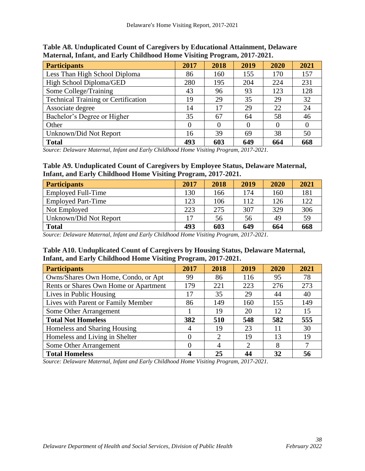| <b>Participants</b>                        | 2017 | 2018 | 2019 | 2020 | 2021     |
|--------------------------------------------|------|------|------|------|----------|
| Less Than High School Diploma              | 86   | 160  | 155  | 170  | 157      |
| High School Diploma/GED                    | 280  | 195  | 204  | 224  | 231      |
| Some College/Training                      | 43   | 96   | 93   | 123  | 128      |
| <b>Technical Training or Certification</b> | 19   | 29   | 35   | 29   | 32       |
| Associate degree                           | 14   | 17   | 29   | 22   | 24       |
| Bachelor's Degree or Higher                | 35   | 67   | 64   | 58   | 46       |
| Other                                      |      | 0    |      |      | $\theta$ |
| Unknown/Did Not Report                     | 16   | 39   | 69   | 38   | 50       |
| <b>Total</b>                               | 493  | 603  | 649  | 664  | 668      |

**Table A8. Unduplicated Count of Caregivers by Educational Attainment, Delaware Maternal, Infant, and Early Childhood Home Visiting Program, 2017-2021.**

#### **Table A9. Unduplicated Count of Caregivers by Employee Status, Delaware Maternal, Infant, and Early Childhood Home Visiting Program, 2017-2021.**

| <b>Participants</b>       | 2017 | 2018 | 2019 | 2020 | 2021 |
|---------------------------|------|------|------|------|------|
| <b>Employed Full-Time</b> | 130  | 166  | 174  | 160  | 181  |
| <b>Employed Part-Time</b> | 123  | 106  | 112  | 126  | 122  |
| Not Employed              | 223  | 275  | 307  | 329  | 306  |
| Unknown/Did Not Report    | 17   | 56   | 56   | 49   | 59   |
| <b>Total</b>              | 493  | 603  | 649  | 664  | 668  |

*Source: Delaware Maternal, Infant and Early Childhood Home Visiting Program, 2017-2021.*

## **Table A10. Unduplicated Count of Caregivers by Housing Status, Delaware Maternal, Infant, and Early Childhood Home Visiting Program, 2017-2021.**

| <b>Participants</b>                   | 2017 | 2018          | 2019 | 2020 | 2021 |
|---------------------------------------|------|---------------|------|------|------|
| Owns/Shares Own Home, Condo, or Apt   | 99   | 86            | 116  | 95   | 78   |
| Rents or Shares Own Home or Apartment | 179  | 221           | 223  | 276  | 273  |
| Lives in Public Housing               | 17   | 35            | 29   | 44   | 40   |
| Lives with Parent or Family Member    | 86   | 149           | 160  | 155  | 149  |
| Some Other Arrangement                |      | 19            | 20   | 12   | 15   |
| <b>Total Not Homeless</b>             | 382  | 510           | 548  | 582  | 555  |
| Homeless and Sharing Housing          |      | 19            | 23   |      | 30   |
| Homeless and Living in Shelter        |      | $\mathcal{D}$ | 19   | 13   | 19   |
| Some Other Arrangement                |      |               | ∍    | 8    | 7    |
| <b>Total Homeless</b>                 |      | 25            | ΔΔ   | 32   | 56   |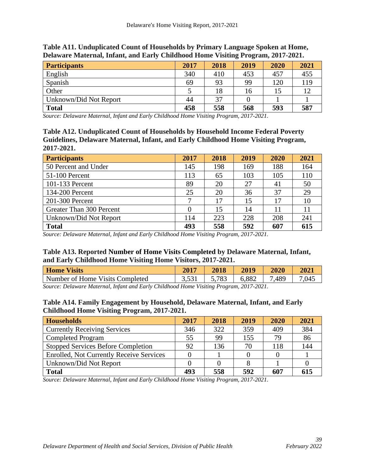| <b>Participants</b>    | 2017 | 2018 | 2019 | 2020 | 2021 |
|------------------------|------|------|------|------|------|
| English                | 340  | 410  | 453  | 457  | 455  |
| Spanish                | 69   | 93   | 99   | 120  | 119  |
| Other                  |      | 18   | 16   |      |      |
| Unknown/Did Not Report | 44   | 37   |      |      |      |
| <b>Total</b>           | 458  | 558  | 568  | 593  | 587  |

**Table A11. Unduplicated Count of Households by Primary Language Spoken at Home, Delaware Maternal, Infant, and Early Childhood Home Visiting Program, 2017-2021.**

**Table A12. Unduplicated Count of Households by Household Income Federal Poverty Guidelines, Delaware Maternal, Infant, and Early Childhood Home Visiting Program, 2017-2021.**

| <b>Participants</b>      | 2017 | 2018 | 2019 | 2020 | 2021 |
|--------------------------|------|------|------|------|------|
| 50 Percent and Under     | 145  | 198  | 169  | 188  | 164  |
| 51-100 Percent           | 113  | 65   | 103  | 105  | 110  |
| 101-133 Percent          | 89   | 20   | 27   | 41   | 50   |
| 134-200 Percent          | 25   | 20   | 36   | 37   | 29   |
| 201-300 Percent          | ⇁    | 17   | 15   | 17   | 10   |
| Greater Than 300 Percent |      | 15   | 14   | 11   |      |
| Unknown/Did Not Report   | 114  | 223  | 228  | 208  | 241  |
| <b>Total</b>             | 493  | 558  | 592  | 607  | 615  |

*Source: Delaware Maternal, Infant and Early Childhood Home Visiting Program, 2017-2021.*

## **Table A13. Reported Number of Home Visits Completed by Delaware Maternal, Infant, and Early Childhood Home Visiting Home Visitors, 2017-2021.**

| <b>Home Visits</b>              | 2017 | 2018  | 2019  | 2020 | 2021  |
|---------------------------------|------|-------|-------|------|-------|
| Number of Home Visits Completed |      | 5,783 | 6,882 | .489 | 7.045 |

*Source: Delaware Maternal, Infant and Early Childhood Home Visiting Program, 2017-2021.*

#### **Table A14. Family Engagement by Household, Delaware Maternal, Infant, and Early Childhood Home Visiting Program, 2017-2021.**

| <b>Households</b>                               | 2017 | 2018 | 2019 | 2020 | 2021 |
|-------------------------------------------------|------|------|------|------|------|
| <b>Currently Receiving Services</b>             | 346  | 322  | 359  | 409  | 384  |
| <b>Completed Program</b>                        | 55   | 99   | 155  | 79   | 86   |
| <b>Stopped Services Before Completion</b>       | 92   | 136  | 70   | 118  | 144  |
| <b>Enrolled, Not Currently Receive Services</b> |      |      |      |      |      |
| Unknown/Did Not Report                          |      |      |      |      |      |
| <b>Total</b>                                    | 493  | 558  | 592  | 607  | 615  |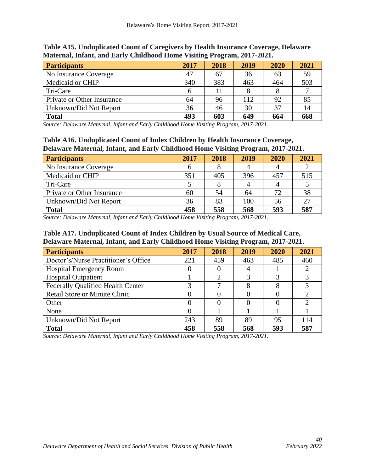| <b>Participants</b>        | 2017 | 2018 | 2019 | 2020 | 2021 |
|----------------------------|------|------|------|------|------|
| No Insurance Coverage      | 47   | 67   | 36   | 63   | 59   |
| Medicaid or CHIP           | 340  | 383  | 463  | 464  | 503  |
| Tri-Care                   |      |      |      |      |      |
| Private or Other Insurance | 64   | 96   | 112  | 92   | 85   |
| Unknown/Did Not Report     | 36   | 46   | 30   | 37   | 14   |
| <b>Total</b>               | 493  | 603  | 649  | 664  | 668  |

**Table A15. Unduplicated Count of Caregivers by Health Insurance Coverage, Delaware Maternal, Infant, and Early Childhood Home Visiting Program, 2017-2021.**

#### **Table A16. Unduplicated Count of Index Children by Health Insurance Coverage, Delaware Maternal, Infant, and Early Childhood Home Visiting Program, 2017-2021.**

| <b>Participants</b>        | 2017 | 2018 | 2019 | 2020 | 2021 |
|----------------------------|------|------|------|------|------|
| No Insurance Coverage      |      |      |      |      |      |
| Medicaid or CHIP           | 351  | 405  | 396  | 457  | 515  |
| Tri-Care                   |      |      |      |      |      |
| Private or Other Insurance | 60   | 54   | 64   | 72   | 38   |
| Unknown/Did Not Report     | 36   | 83   | 100  | 56   | 27   |
| <b>Total</b>               | 458  | 558  | 568  | 593  | 587  |

*Source: Delaware Maternal, Infant and Early Childhood Home Visiting Program, 2017-2021.*

## **Table A17. Unduplicated Count of Index Children by Usual Source of Medical Care, Delaware Maternal, Infant, and Early Childhood Home Visiting Program, 2017-2021.**

| <b>Participants</b>                      | 2017 | 2018 | 2019 | 2020 | 2021 |
|------------------------------------------|------|------|------|------|------|
| Doctor's/Nurse Practitioner's Office     | 221  | 459  | 463  | 485  | 460  |
| <b>Hospital Emergency Room</b>           |      |      |      |      |      |
| <b>Hospital Outpatient</b>               |      | ∍    |      |      |      |
| <b>Federally Qualified Health Center</b> |      |      | 8    |      | 3    |
| <b>Retail Store or Minute Clinic</b>     |      |      |      |      |      |
| Other                                    |      |      |      |      |      |
| None                                     |      |      |      |      |      |
| Unknown/Did Not Report                   | 243  | 89   | 89   | 95   | 114  |
| <b>Total</b>                             | 458  | 558  | 568  | 593  | 587  |